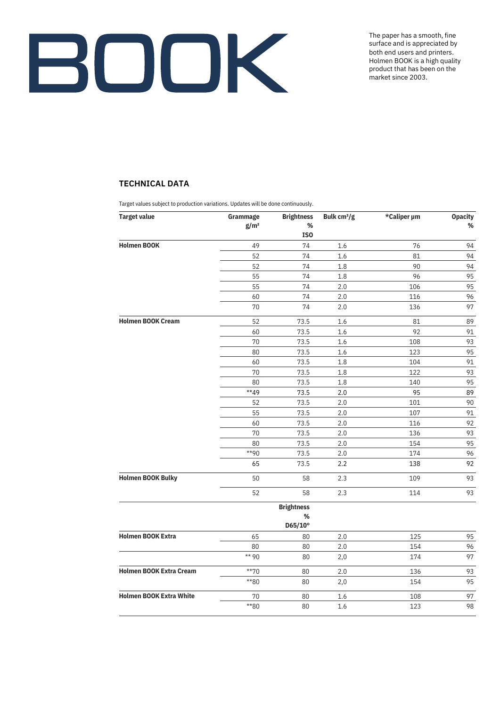

The paper has a smooth, fine surface and is appreciated by both end users and printers. Holmen BOOK is a high quality product that has been on the market since 2003.

## **TECHNICAL DATA**

Target values subject to production variations. Updates will be done continuously.

| <b>Target value</b>            | Grammage         | <b>Brightness</b> | Bulk cm <sup>3</sup> /g | *Caliper µm | <b>Opacity</b> |
|--------------------------------|------------------|-------------------|-------------------------|-------------|----------------|
|                                | g/m <sup>2</sup> | $\%$              |                         |             | %              |
|                                |                  | ISO               |                         |             |                |
| <b>Holmen BOOK</b>             | 49               | 74                | 1.6                     | 76          | 94             |
|                                | 52               | 74                | 1.6                     | 81          | 94             |
|                                | 52               | 74                | 1.8                     | 90          | 94             |
|                                | 55               | 74                | 1.8                     | 96          | 95             |
|                                | 55               | 74                | 2.0                     | 106         | 95             |
|                                | 60               | 74                | 2.0                     | 116         | 96             |
|                                | 70               | 74                | 2.0                     | 136         | 97             |
| <b>Holmen BOOK Cream</b>       | 52               | 73.5              | $1.6\,$                 | 81          | 89             |
|                                | 60               | 73.5              | 1.6                     | 92          | 91             |
|                                | 70               | 73.5              | 1.6                     | 108         | 93             |
|                                | 80               | 73.5              | 1.6                     | 123         | 95             |
|                                | 60               | 73.5              | $1.8\,$                 | 104         | 91             |
|                                | 70               | 73.5              | $1.8\,$                 | 122         | 93             |
|                                | 80               | 73.5              | 1.8                     | 140         | 95             |
|                                | **49             | 73.5              | $2.0\,$                 | 95          | 89             |
|                                | 52               | 73.5              | 2.0                     | 101         | 90             |
|                                | 55               | 73.5              | 2.0                     | 107         | 91             |
|                                | 60               | 73.5              | $2.0\,$                 | 116         | 92             |
|                                | 70               | 73.5              | $2.0\,$                 | 136         | 93             |
|                                | 80               | 73.5              | 2.0                     | 154         | 95             |
|                                | $*$ 90           | 73.5              | 2.0                     | 174         | 96             |
|                                | 65               | 73.5              | 2.2                     | 138         | 92             |
| <b>Holmen BOOK Bulky</b>       | 50               | 58                | 2.3                     | 109         | 93             |
|                                | 52               | 58                | 2.3                     | 114         | 93             |
|                                |                  | <b>Brightness</b> |                         |             |                |
|                                |                  | $\%$<br>D65/10°   |                         |             |                |
| <b>Holmen BOOK Extra</b>       | 65               | 80                | 2.0                     | 125         | 95             |
|                                | 80               | 80                | 2.0                     | 154         | 96             |
|                                | ** 90            | 80                | 2,0                     | 174         | 97             |
| <b>Holmen BOOK Extra Cream</b> | $*$ *70          | 80                | 2.0                     | 136         | 93             |
|                                | **80             | 80                | 2,0                     | 154         | 95             |
| <b>Holmen BOOK Extra White</b> | 70               | 80                | 1.6                     | 108         | 97             |
|                                | $*80$            | 80                | 1.6                     | 123         | 98             |